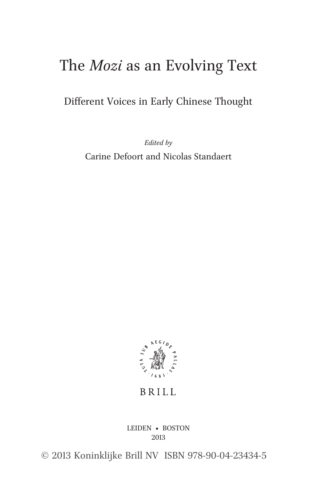# The *Mozi* as an Evolving Text

# Diffferent Voices in Early Chinese Thought

*Edited by*

Carine Defoort and Nicolas Standaert



**BRILL** 

LEIDEN • BOSTON 2013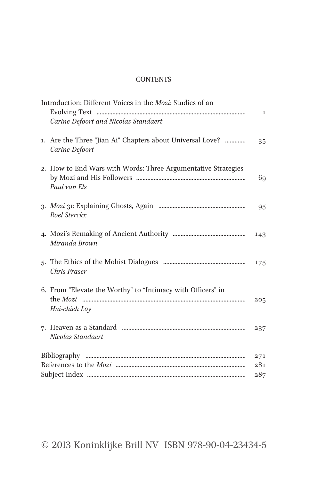# **CONTENTS**

|  | Introduction: Different Voices in the Mozi: Studies of an                     |              |
|--|-------------------------------------------------------------------------------|--------------|
|  |                                                                               | $\mathbf{1}$ |
|  | Carine Defoort and Nicolas Standaert                                          |              |
|  | 1. Are the Three "Jian Ai" Chapters about Universal Love?<br>Carine Defoort   | 35           |
|  | 2. How to End Wars with Words: Three Argumentative Strategies<br>Paul van Els | 69           |
|  | Roel Sterckx                                                                  | 95           |
|  | Miranda Brown                                                                 | 143          |
|  | Chris Fraser                                                                  | 175          |
|  | 6. From "Elevate the Worthy" to "Intimacy with Officers" in<br>Hui-chieh Loy  | 205          |
|  | Nicolas Standaert                                                             | 237          |
|  |                                                                               |              |
|  |                                                                               |              |
|  |                                                                               |              |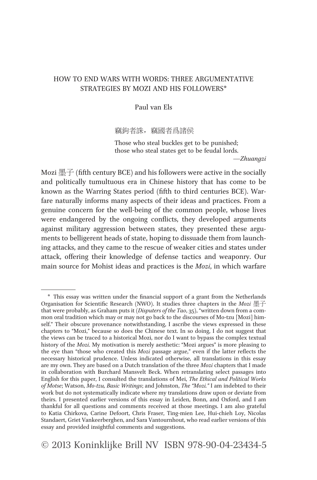# HOW TO END WARS WITH WORDS: THREE ARGUMENTATIVE STRATEGIES BY MOZI AND HIS FOLLOWERS\*

#### Paul van Els

# 竊鉤者誅,竊國者爲諸侯

Those who steal buckles get to be punished; those who steal states get to be feudal lords.

—*Zhuangzi* 

Mozi 墨子 (fifth century BCE) and his followers were active in the socially and politically tumultuous era in Chinese history that has come to be known as the Warring States period (fifth to third centuries BCE). Warfare naturally informs many aspects of their ideas and practices. From a genuine concern for the well-being of the common people, whose lives were endangered by the ongoing conflicts, they developed arguments against military aggression between states, they presented these arguments to belligerent heads of state, hoping to dissuade them from launching attacks, and they came to the rescue of weaker cities and states under attack, offering their knowledge of defense tactics and weaponry. Our main source for Mohist ideas and practices is the *Mozi*, in which warfare

<sup>\*</sup> This essay was written under the financial support of a grant from the Netherlands Organisation for Scientific Research (NWO). It studies three chapters in the *Mozi* 墨子 that were probably, as Graham puts it (*Disputers of the Tao*, 35), "written down from a common oral tradition which may or may not go back to the discourses of Mo-tzu [Mozi] himself." Their obscure provenance notwithstanding, I ascribe the views expressed in these chapters to "Mozi," because so does the Chinese text. In so doing, I do not suggest that the views can be traced to a historical Mozi, nor do I want to bypass the complex textual history of the *Mozi*. My motivation is merely aesthetic: "Mozi argues" is more pleasing to the eye than "those who created this *Mozi* passage argue," even if the latter reflects the necessary historical prudence. Unless indicated otherwise, all translations in this essay are my own. They are based on a Dutch translation of the three *Mozi* chapters that I made in collaboration with Burchard Mansvelt Beck. When retranslating select passages into English for this paper, I consulted the translations of Mei , *The Ethical and Political Works*  of Motse; Watson, Mo-tzu, Basic Writings; and Johnston, The "Mozi." I am indebted to their work but do not systematically indicate where my translations draw upon or deviate from theirs. I presented earlier versions of this essay in Leiden, Bonn, and Oxford, and I am thankful for all questions and comments received at those meetings. I am also grateful to Katia Chirkova, Carine Defoort, Chris Fraser, Ting-mien Lee, Hui-chieh Loy, Nicolas Standaert, Griet Vankeerberghen, and Sara Vantournhout, who read earlier versions of this essay and provided insightful comments and suggestions.

<sup>© 2013</sup> Koninklijke Brill NV ISBN 978-90-04-23434-5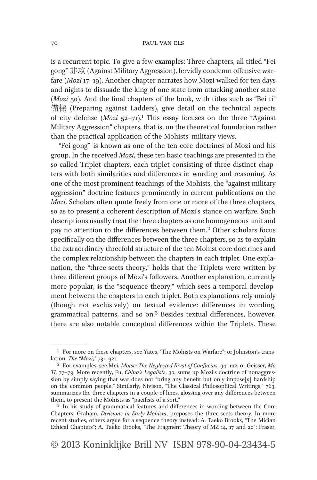is a recurrent topic. To give a few examples: Three chapters, all titled "Fei gong" 非攻 (Against Military Aggression), fervidly condemn offensive warfare (*Mozi* 17–19). Another chapter narrates how Mozi walked for ten days and nights to dissuade the king of one state from attacking another state  $(Mozi 50)$ . And the final chapters of the book, with titles such as "Bei ti" 備梯 (Preparing against Ladders), give detail on the technical aspects of city defense (*Mozi* 52–71).1 This essay focuses on the three "Against Military Aggression" chapters, that is, on the theoretical foundation rather than the practical application of the Mohists' military views.

"Fei gong" is known as one of the ten core doctrines of Mozi and his group. In the received *Mozi*, these ten basic teachings are presented in the so-called Triplet chapters, each triplet consisting of three distinct chapters with both similarities and diffferences in wording and reasoning. As one of the most prominent teachings of the Mohists, the "against military aggression" doctrine features prominently in current publications on the *Mozi*. Scholars often quote freely from one or more of the three chapters, so as to present a coherent description of Mozi's stance on warfare. Such descriptions usually treat the three chapters as one homogeneous unit and pay no attention to the differences between them.<sup>2</sup> Other scholars focus specifically on the differences between the three chapters, so as to explain the extraordinary threefold structure of the ten Mohist core doctrines and the complex relationship between the chapters in each triplet. One explanation, the "three-sects theory," holds that the Triplets were written by three diffferent groups of Mozi's followers. Another explanation, currently more popular, is the "sequence theory," which sees a temporal development between the chapters in each triplet. Both explanations rely mainly (though not exclusively) on textual evidence: differences in wording, grammatical patterns, and so on.<sup>3</sup> Besides textual differences, however, there are also notable conceptual diffferences within the Triplets. These

<sup>&</sup>lt;sup>1</sup> For more on these chapters, see Yates, "The Mohists on Warfare"; or Johnston's translation, *The "Mozi*,*"* 731–921.

<sup>2</sup> For examples, see Mei, *Motse: The Neglected Rival of Confucius*, 94–102; or Geisser, *Mo Ti*, 77–79. More recently, Fu, *China's Legalists*, 30, sums up Mozi's doctrine of nonaggression by simply saying that war does not "bring any benefit but only impose[s] hardship on the common people." Similarly, Nivison, "The Classical Philosophical Writings," 763, summarizes the three chapters in a couple of lines, glossing over any differences between them, to present the Mohists as "pacifists of a sort."

<sup>&</sup>lt;sup>3</sup> In his study of grammatical features and differences in wording between the Core Chapters, Graham, *Divisions in Early Mohism*, proposes the three-sects theory. In more recent studies, others argue for a sequence theory instead: A. Taeko Brooks , "The Mician Ethical Chapters"; A. Taeko Brooks, "The Fragment Theory of MZ 14, 17 and 20"; Fraser,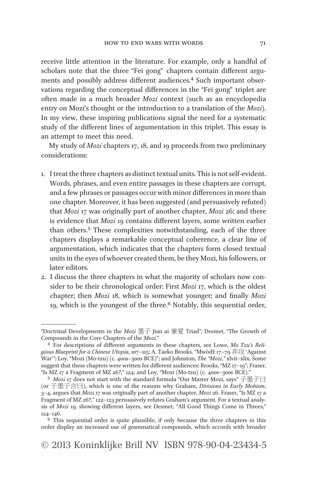receive little attention in the literature. For example, only a handful of scholars note that the three "Fei gong" chapters contain different arguments and possibly address different audiences.<sup>4</sup> Such important observations regarding the conceptual differences in the "Fei gong" triplet are often made in a much broader *Mozi* context (such as an encyclopedia entry on Mozi's thought or the introduction to a translation of the *Mozi*). In my view, these inspiring publications signal the need for a systematic study of the different lines of argumentation in this triplet. This essay is an attempt to meet this need.

My study of *Mozi* chapters 17, 18, and 19 proceeds from two preliminary considerations:

- 1.   I treat the three chapters as distinct textual units. This is not self-evident. Words, phrases, and even entire passages in these chapters are corrupt, and a few phrases or passages occur with minor differences in more than one chapter. Moreover, it has been suggested (and persuasively refuted) that *Mozi* 17 was originally part of another chapter, *Mozi* 26; and there is evidence that *Mozi* 19 contains different layers, some written earlier than others.5 These complexities notwithstanding, each of the three chapters displays a remarkable conceptual coherence, a clear line of argumentation, which indicates that the chapters form closed textual units in the eyes of whoever created them, be they Mozi, his followers, or later editors.
- 2. I discuss the three chapters in what the majority of scholars now consider to be their chronological order: First *Mozi* 17, which is the oldest chapter; then *Mozi* 18, which is somewhat younger; and finally *Mozi* 19, which is the youngest of the three.<sup>6</sup> Notably, this sequential order,

<sup>&</sup>quot;Doctrinal Developments in the *Mozi* 墨子 Jian ai 兼愛 Triad"; Desmet, "The Growth of Compounds in the Core Chapters of the *Mozi.*"

<sup>4</sup> For descriptions of diffferent arguments in these chapters, see Lowe, *Mo Tzu's Religious Blueprint for a Chinese Utopia*, 107–115; A. Taeko Brooks. "Mwòdž 17–79 非攻 'Against War' "; Loy, "Mozi (Mo-tzu) (c. 400s–300s BCE)"; and Johnston, *The "Mozi*,*"* xlvii–xlix. Some suggest that these chapters were written for different audiences: Brooks, "MZ 17-19"; Fraser, "Is MZ 17 a Fragment of MZ 26?," 124; and Loy, "Mozi (Mo-tzu) (c. 400s–300s BCE)."

<sup>&</sup>lt;sup>5</sup> Mozi 17 does not start with the standard formula "Our Master Mozi, says" 子墨子曰 (or 子墨子言曰), which is one of the reasons why Graham , *Divisions in Early Mohism*, 3–4, argues that *Mozi* 17 was originally part of another chapter, *Mozi* 26. Fraser , "Is MZ 17 a Fragment of MZ 26?," 122–123 persuasively refutes Graham 's argument. For a textual analysis of *Mozi* 19, showing different layers, see Desmet, "All Good Things Come in Threes," 124–146.

<sup>6</sup> This sequential order is quite plausible, if only because the three chapters in this order display an increased use of grammatical compounds, which accords with broader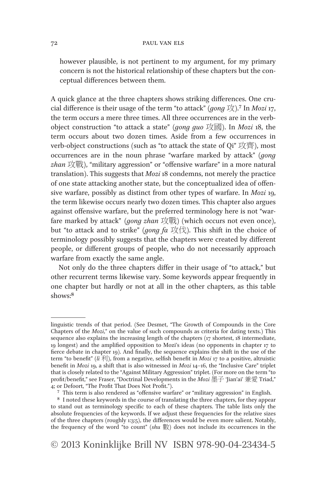#### 72 paul van els

however plausible, is not pertinent to my argument, for my primary concern is not the historical relationship of these chapters but the conceptual differences between them.

A quick glance at the three chapters shows striking differences. One crucial difference is their usage of the term "to attack" (*gong*  $\forall \vec{x}$ ).<sup>7</sup> In *Mozi* 17, the term occurs a mere three times. All three occurrences are in the verbobject construction "to attack a state" (*gong guo* 攻國). In *Mozi* 18 , the term occurs about two dozen times. Aside from a few occurrences in verb-object constructions (such as "to attack the state of  $\mathrm{Oi}^n \times \mathbb{Z}$ "), most occurrences are in the noun phrase "warfare marked by attack" (*gong*  zhan 攻戰), "military aggression" or "offensive warfare" in a more natural translation). This suggests that *Mozi* 18 condemns, not merely the practice of one state attacking another state, but the conceptualized idea of offensive warfare, possibly as distinct from other types of warfare. In *Mozi* 19, the term likewise occurs nearly two dozen times. This chapter also argues against offfensive warfare, but the preferred terminology here is not "warfare marked by attack" (*gong zhan* 攻戰) (which occurs not even once), but "to attack and to strike" (*gong fa* 攻伐). This shift in the choice of terminology possibly suggests that the chapters were created by different people, or diffferent groups of people, who do not necessarily approach warfare from exactly the same angle.

Not only do the three chapters differ in their usage of "to attack," but other recurrent terms likewise vary. Some keywords appear frequently in one chapter but hardly or not at all in the other chapters, as this table shows:8

linguistic trends of that period. (See Desmet, "The Growth of Compounds in the Core Chapters of the *Mozi*," on the value of such compounds as criteria for dating texts.) This sequence also explains the increasing length of the chapters (17 shortest, 18 intermediate, 19 longest) and the amplified opposition to Mozi's ideas (no opponents in chapter 17 to fierce debate in chapter 19). And finally, the sequence explains the shift in the use of the term "to benefit" (*li* 利), from a negative, selfish benefit in *Mozi* 17 to a positive, altruistic benefit in *Mozi* 19, a shift that is also witnessed in *Mozi* 14–16, the "Inclusive Care" triplet that is closely related to the "Against Military Aggression" triplet. (For more on the term "to profit/benefit," see Fraser, "Doctrinal Developments in the *Mozi* 墨子 'Jian'ai' 兼愛 Triad," 4; or Defoort, "The Profit That Does Not Profit.").

<sup>&</sup>lt;sup>7</sup> This term is also rendered as "offensive warfare" or "military aggression" in English.

<sup>8</sup> I noted these keywords in the course of translating the three chapters, for they appear to stand out as terminology specific to each of these chapters. The table lists only the absolute frequencies of the keywords. If we adjust these frequencies for the relative sizes of the three chapters (roughly 1:3:5), the diffferences would be even more salient. Notably, the frequency of the word "to count" (*shu* 數) does not include its occurrences in the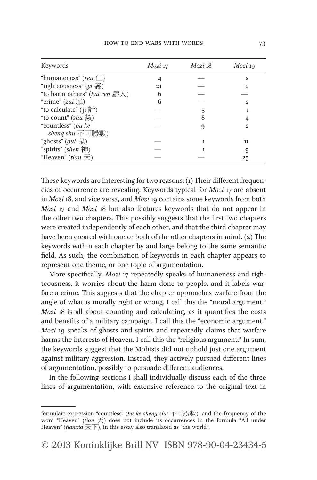| Keywords                              | Mozi 17 | Mozi 18 | <i>Mozi</i> 19 |
|---------------------------------------|---------|---------|----------------|
| "humaneness" (ren $\left(\Box\right)$ |         |         | $\mathbf{2}$   |
| "righteousness" ( $yi$ 義)             | 21      |         | 9              |
| "to harm others" (kui ren 虧人)         | 6       |         |                |
| "crime" $(zui$ 罪)                     |         |         | 2.             |
| "to calculate" (ji $\frac{2}{11}$ )   |         | 5       |                |
| "to count" (shu 數)                    |         | 8       |                |
| "countless" (bu ke                    |         | 9       | 2.             |
| sheng shu 不可勝數)                       |         |         |                |
| "ghosts" $(gui \overset{\sim}{E})$    |         | 1       | 11             |
| "spirits" (shen 神)                    |         |         | 9              |
| "Heaven" (tian $\pm$ )                |         |         | 25             |

These keywords are interesting for two reasons: (1) Their different frequencies of occurrence are revealing. Keywords typical for *Mozi* 17 are absent in *Mozi* 18 , and vice versa, and *Mozi* 19 contains some keywords from both *Mozi* 17 and *Mozi* 18 but also features keywords that do not appear in the other two chapters. This possibly suggests that the first two chapters were created independently of each other, and that the third chapter may have been created with one or both of the other chapters in mind. (2) The keywords within each chapter by and large belong to the same semantic field. As such, the combination of keywords in each chapter appears to represent one theme, or one topic of argumentation.

More specifically, *Mozi* 17 repeatedly speaks of humaneness and righteousness, it worries about the harm done to people, and it labels warfare a crime. This suggests that the chapter approaches warfare from the angle of what is morally right or wrong. I call this the "moral argument." *Mozi* 18 is all about counting and calculating, as it quantifies the costs and benefits of a military campaign. I call this the "economic argument." *Mozi* 19 speaks of ghosts and spirits and repeatedly claims that warfare harms the interests of Heaven. I call this the "religious argument." In sum, the keywords suggest that the Mohists did not uphold just one argument against military aggression. Instead, they actively pursued different lines of argumentation, possibly to persuade different audiences.

In the following sections I shall individually discuss each of the three lines of argumentation, with extensive reference to the original text in

formulaic expression "countless" (*bu ke sheng shu* 不可勝數), and the frequency of the word "Heaven" *(tian* 天) does not include its occurrences in the formula "All under Heaven" (*tianxia* 天下), in this essay also translated as "the world".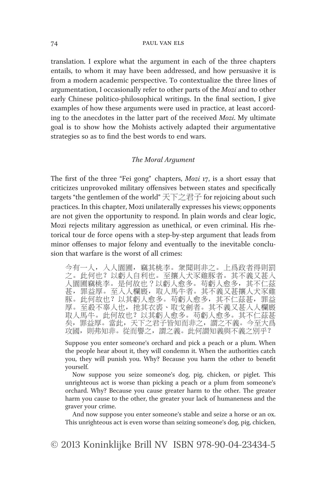translation. I explore what the argument in each of the three chapters entails, to whom it may have been addressed, and how persuasive it is from a modern academic perspective. To contextualize the three lines of argumentation, I occasionally refer to other parts of the *Mozi* and to other early Chinese politico-philosophical writings. In the final section, I give examples of how these arguments were used in practice, at least according to the anecdotes in the latter part of the received *Mozi*. My ultimate goal is to show how the Mohists actively adapted their argumentative strategies so as to find the best words to end wars.

#### *The Moral Argument*

The first of the three "Fei gong" chapters, *Mozi* 17, is a short essay that criticizes unprovoked military offensives between states and specifically targets "the gentlemen of the world" 天下之君子 for rejoicing about such practices. In this chapter, Mozi unilaterally expresses his views; opponents are not given the opportunity to respond. In plain words and clear logic, Mozi rejects military aggression as unethical, or even criminal. His rhetorical tour de force opens with a step-by-step argument that leads from minor offenses to major felony and eventually to the inevitable conclusion that warfare is the worst of all crimes:

今有一人,入人園圃,竊其桃李。衆聞則非之。上爲政者得則罰 之。此何也?以虧人自利也。至攘人犬豕雞豚者。其不義又甚入 人園圃竊桃李。是何故也?以虧人愈多。苟虧人愈多,其不仁茲 。<br>甚,罪益厚。至入人欄廄,取人馬牛者。其不義又甚攘人犬豕雞 豚。此何故也?以其虧人愈多。苟虧人愈多,其不仁茲甚,罪益 厚。至殺不辜人也,扡其衣裘、取戈劍者。其不義又甚入人欄廄 取人馬牛。此何故也?以其虧人愈多。苟虧人愈多。其不仁茲甚 矣,罪益厚。當此,天下之君子皆知而非之,謂之不義。今至大爲 攻國, 則弗知非。從而譽之, 謂之義。此何謂知義與不義之別乎?

Suppose you enter someone's orchard and pick a peach or a plum. When the people hear about it, they will condemn it. When the authorities catch you, they will punish you. Why? Because you harm the other to benefit yourself.

Now suppose you seize someone's dog, pig, chicken, or piglet. This unrighteous act is worse than picking a peach or a plum from someone's orchard. Why? Because you cause greater harm to the other. The greater harm you cause to the other, the greater your lack of humaneness and the graver your crime.

And now suppose you enter someone's stable and seize a horse or an ox. This unrighteous act is even worse than seizing someone's dog, pig, chicken,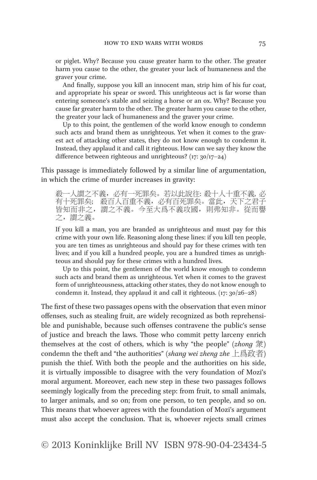or piglet. Why? Because you cause greater harm to the other. The greater harm you cause to the other, the greater your lack of humaneness and the graver your crime.

And finally, suppose you kill an innocent man, strip him of his fur coat, and appropriate his spear or sword. This unrighteous act is far worse than entering someone's stable and seizing a horse or an ox. Why? Because you cause far greater harm to the other. The greater harm you cause to the other, the greater your lack of humaneness and the graver your crime.

Up to this point, the gentlemen of the world know enough to condemn such acts and brand them as unrighteous. Yet when it comes to the gravest act of attacking other states, they do not know enough to condemn it. Instead, they applaud it and call it righteous. How can we say they know the difference between righteous and unrighteous? (17:  $30/17-24$ )

This passage is immediately followed by a similar line of argumentation, in which the crime of murder increases in gravity:

殺一人謂之不義,必有一死罪矣。若以此說往: 殺十人十重不義, 必 有十死罪矣; 殺百人百重不義,必有百死罪矣。當此,天下之君子 皆知而非之,謂之不義。今至大爲不義攻國,則弗知非。從而譽 之,謂之義。

If you kill a man, you are branded as unrighteous and must pay for this crime with your own life. Reasoning along these lines: if you kill ten people, you are ten times as unrighteous and should pay for these crimes with ten lives; and if you kill a hundred people, you are a hundred times as unrighteous and should pay for these crimes with a hundred lives.

Up to this point, the gentlemen of the world know enough to condemn such acts and brand them as unrighteous. Yet when it comes to the gravest form of unrighteousness, attacking other states, they do not know enough to condemn it. Instead, they applaud it and call it righteous.  $(17: 30/26-28)$ 

The first of these two passages opens with the observation that even minor offfenses, such as stealing fruit, are widely recognized as both reprehensible and punishable, because such offenses contravene the public's sense of justice and breach the laws. Those who commit petty larceny enrich themselves at the cost of others, which is why "the people" (*zhong* 衆) condemn the theft and "the authorities" (*shang wei zheng zhe* 上爲政者) punish the thief. With both the people and the authorities on his side, it is virtually impossible to disagree with the very foundation of Mozi's moral argument. Moreover, each new step in these two passages follows seemingly logically from the preceding step: from fruit, to small animals, to larger animals, and so on; from one person, to ten people, and so on. This means that whoever agrees with the foundation of Mozi's argument must also accept the conclusion. That is, whoever rejects small crimes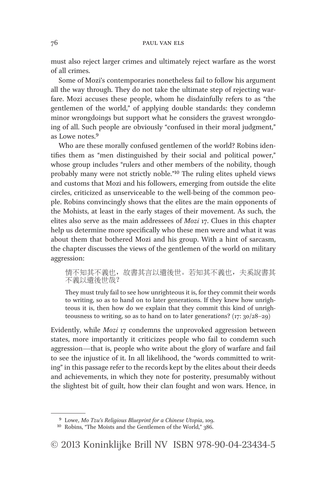must also reject larger crimes and ultimately reject warfare as the worst of all crimes.

Some of Mozi's contemporaries nonetheless fail to follow his argument all the way through. They do not take the ultimate step of rejecting warfare. Mozi accuses these people, whom he disdainfully refers to as "the gentlemen of the world," of applying double standards: they condemn minor wrongdoings but support what he considers the gravest wrongdoing of all. Such people are obviously "confused in their moral judgment," as Lowe notes.9

Who are these morally confused gentlemen of the world? Robins identifies them as "men distinguished by their social and political power," whose group includes "rulers and other members of the nobility, though probably many were not strictly noble."10 The ruling elites upheld views and customs that Mozi and his followers, emerging from outside the elite circles, criticized as unserviceable to the well-being of the common people. Robins convincingly shows that the elites are the main opponents of the Mohists, at least in the early stages of their movement. As such, the elites also serve as the main addressees of *Mozi* 17 . Clues in this chapter help us determine more specifically who these men were and what it was about them that bothered Mozi and his group. With a hint of sarcasm, the chapter discusses the views of the gentlemen of the world on military aggression:

情不知其不義也,故書其言以遺後世。若知其不義也,夫奚說書其 不義以遺後世哉?

They must truly fail to see how unrighteous it is, for they commit their words to writing, so as to hand on to later generations. If they knew how unrighteous it is, then how do we explain that they commit this kind of unrighteousness to writing, so as to hand on to later generations?  $(17: 30/28-29)$ 

Evidently, while *Mozi* 17 condemns the unprovoked aggression between states, more importantly it criticizes people who fail to condemn such aggression—that is, people who write about the glory of warfare and fail to see the injustice of it. In all likelihood, the "words committed to writing" in this passage refer to the records kept by the elites about their deeds and achievements, in which they note for posterity, presumably without the slightest bit of guilt, how their clan fought and won wars. Hence, in

<sup>9</sup> Lowe, *Mo Tzu's Religious Blueprint for a Chinese Utopia*, 109.

<sup>10</sup> Robins, "The Moists and the Gentlemen of the World," 386.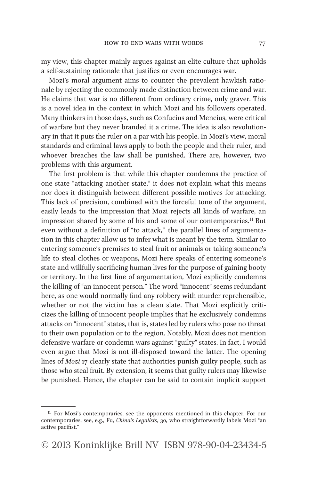my view, this chapter mainly argues against an elite culture that upholds a self-sustaining rationale that justifies or even encourages war.

Mozi's moral argument aims to counter the prevalent hawkish rationale by rejecting the commonly made distinction between crime and war. He claims that war is no different from ordinary crime, only graver. This is a novel idea in the context in which Mozi and his followers operated. Many thinkers in those days, such as Confucius and Mencius , were critical of warfare but they never branded it a crime. The idea is also revolutionary in that it puts the ruler on a par with his people. In Mozi's view, moral standards and criminal laws apply to both the people and their ruler, and whoever breaches the law shall be punished. There are, however, two problems with this argument.

The first problem is that while this chapter condemns the practice of one state "attacking another state," it does not explain what this means nor does it distinguish between different possible motives for attacking. This lack of precision, combined with the forceful tone of the argument, easily leads to the impression that Mozi rejects all kinds of warfare, an impression shared by some of his and some of our contemporaries.11 But even without a definition of "to attack," the parallel lines of argumentation in this chapter allow us to infer what is meant by the term. Similar to entering someone's premises to steal fruit or animals or taking someone's life to steal clothes or weapons, Mozi here speaks of entering someone's state and willfully sacrificing human lives for the purpose of gaining booty or territory. In the first line of argumentation, Mozi explicitly condemns the killing of "an innocent person." The word "innocent" seems redundant here, as one would normally find any robbery with murder reprehensible, whether or not the victim has a clean slate. That Mozi explicitly criticizes the killing of innocent people implies that he exclusively condemns attacks on "innocent" states, that is, states led by rulers who pose no threat to their own population or to the region. Notably, Mozi does not mention defensive warfare or condemn wars against "guilty" states. In fact, I would even argue that Mozi is not ill-disposed toward the latter. The opening lines of *Mozi* 17 clearly state that authorities punish guilty people, such as those who steal fruit. By extension, it seems that guilty rulers may likewise be punished. Hence, the chapter can be said to contain implicit support

<sup>11</sup> For Mozi's contemporaries, see the opponents mentioned in this chapter. For our contemporaries, see, e.g., Fu, *China's Legalists*, 30, who straightforwardly labels Mozi "an active pacifist."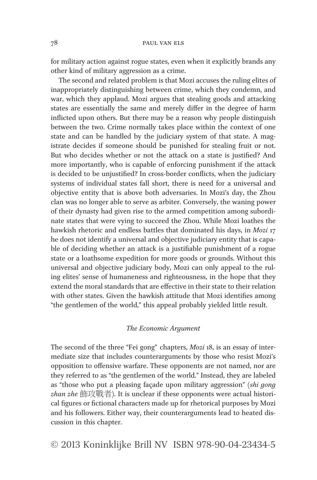for military action against rogue states, even when it explicitly brands any other kind of military aggression as a crime .

The second and related problem is that Mozi accuses the ruling elites of inappropriately distinguishing between crime, which they condemn, and war, which they applaud. Mozi argues that stealing goods and attacking states are essentially the same and merely differ in the degree of harm inflicted upon others. But there may be a reason why people distinguish between the two. Crime normally takes place within the context of one state and can be handled by the judiciary system of that state. A magistrate decides if someone should be punished for stealing fruit or not. But who decides whether or not the attack on a state is justified? And more importantly, who is capable of enforcing punishment if the attack is decided to be unjustified? In cross-border conflicts, when the judiciary systems of individual states fall short, there is need for a universal and objective entity that is above both adversaries. In Mozi's day, the Zhou clan was no longer able to serve as arbiter. Conversely, the waning power of their dynasty had given rise to the armed competition among subordinate states that were vying to succeed the Zhou. While Mozi loathes the hawkish rhetoric and endless battles that dominated his days, in *Mozi* 17 he does not identify a universal and objective judiciary entity that is capable of deciding whether an attack is a justifiable punishment of a rogue state or a loathsome expedition for more goods or grounds. Without this universal and objective judiciary body, Mozi can only appeal to the ruling elites' sense of humaneness and righteousness, in the hope that they extend the moral standards that are efffective in their state to their relation with other states. Given the hawkish attitude that Mozi identifies among "the gentlemen of the world," this appeal probably yielded little result.

# *The Economic Argument*

The second of the three "Fei gong" chapters, *Mozi* 18 , is an essay of intermediate size that includes counterarguments by those who resist Mozi's opposition to offensive warfare. These opponents are not named, nor are they referred to as "the gentlemen of the world." Instead, they are labeled as "those who put a pleasing façade upon military aggression" (*shi gong zhan zhe* 飾攻戰者). It is unclear if these opponents were actual historical figures or fictional characters made up for rhetorical purposes by Mozi and his followers. Either way, their counterarguments lead to heated discussion in this chapter.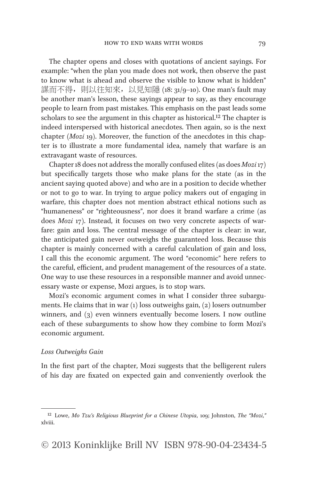The chapter opens and closes with quotations of ancient sayings. For example: "when the plan you made does not work, then observe the past to know what is ahead and observe the visible to know what is hidden" 謀而不得, 則以往知來, 以見知隱 (18: 31/9-10). One man's fault may be another man's lesson, these sayings appear to say, as they encourage people to learn from past mistakes. This emphasis on the past leads some scholars to see the argument in this chapter as historical.<sup>12</sup> The chapter is indeed interspersed with historical anecdotes. Then again, so is the next chapter (*Mozi* 19). Moreover, the function of the anecdotes in this chapter is to illustrate a more fundamental idea, namely that warfare is an extravagant waste of resources.

Chapter 18 does not address the morally confused elites (as does *Mozi* 17 ) but specifically targets those who make plans for the state (as in the ancient saying quoted above) and who are in a position to decide whether or not to go to war. In trying to argue policy makers out of engaging in warfare, this chapter does not mention abstract ethical notions such as "humaneness" or "righteousness", nor does it brand warfare a crime (as does *Mozi* 17). Instead, it focuses on two very concrete aspects of warfare: gain and loss. The central message of the chapter is clear: in war, the anticipated gain never outweighs the guaranteed loss. Because this chapter is mainly concerned with a careful calculation of gain and loss, I call this the economic argument. The word "economic" here refers to the careful, efficient, and prudent management of the resources of a state. One way to use these resources in a responsible manner and avoid unnecessary waste or expense, Mozi argues, is to stop wars.

Mozi's economic argument comes in what I consider three subarguments. He claims that in war  $(i)$  loss outweighs gain,  $(i)$  losers outnumber winners, and (3) even winners eventually become losers. I now outline each of these subarguments to show how they combine to form Mozi's economic argument.

#### *Loss Outweighs Gain*

In the first part of the chapter, Mozi suggests that the belligerent rulers of his day are fixated on expected gain and conveniently overlook the

<sup>12</sup> Lowe, *Mo Tzu's Religious Blueprint for a Chinese Utopia*, 109; Johnston, *The "Mozi*,*"* xlviii.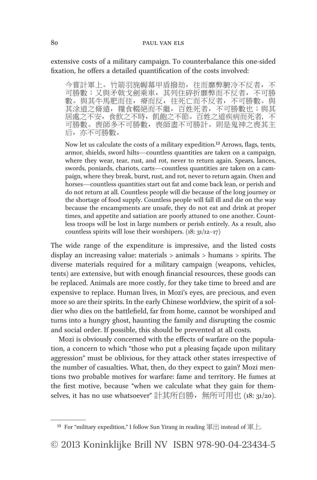#### 80 PAUL VAN ELS

extensive costs of a military campaign. To counterbalance this one-sided fixation, he offers a detailed quantification of the costs involved:

今嘗計軍上。竹箭羽旄幄幕甲盾撥劫,往而靡弊腑冷不反者,不 可勝數;又與矛戟戈劍乘車,其列住碎折靡弊而不反者,不可勝 數。與其牛馬肥而往,瘠而反,往死亡而不反者,不可勝數。與 其涂道之脩遠,糧食輟絕而不繼,百姓死者,不可勝數也;與其 居處之不安,食飲之不時,飢飽之不節。百姓之道疾病而死者, 不 可勝數。喪師多不可勝數,喪師盡不可勝計。則是鬼神之喪其主 后,亦不可勝數。

Now let us calculate the costs of a military expedition.13 Arrows, flags, tents, armor, shields, sword hilts—countless quantities are taken on a campaign, where they wear, tear, rust, and rot, never to return again. Spears, lances, swords, poniards, chariots, carts—countless quantities are taken on a campaign, where they break, burst, rust, and rot, never to return again. Oxen and horses—countless quantities start out fat and come back lean, or perish and do not return at all. Countless people will die because of the long journey or the shortage of food supply. Countless people will fall ill and die on the way because the encampments are unsafe, they do not eat and drink at proper times, and appetite and satiation are poorly attuned to one another. Countless troops will be lost in large numbers or perish entirely. As a result, also countless spirits will lose their worshipers.  $(18: 31/12-17)$ 

The wide range of the expenditure is impressive, and the listed costs display an increasing value: materials > animals > humans > spirits . The diverse materials required for a military campaign (weapons, vehicles, tents) are extensive, but with enough financial resources, these goods can be replaced. Animals are more costly, for they take time to breed and are expensive to replace. Human lives, in Mozi's eyes, are precious, and even more so are their spirits. In the early Chinese worldview, the spirit of a soldier who dies on the battlefield, far from home, cannot be worshiped and turns into a hungry ghost, haunting the family and disrupting the cosmic and social order. If possible, this should be prevented at all costs.

Mozi is obviously concerned with the effects of warfare on the population, a concern to which "those who put a pleasing façade upon military aggression" must be oblivious, for they attack other states irrespective of the number of casualties. What, then, do they expect to gain? Mozi mentions two probable motives for warfare: fame and territory. He fumes at the first motive, because "when we calculate what they gain for themselves, it has no use whatsoever" 計其所自勝, 無所可用也 (18: 31/20).

<sup>&</sup>lt;sup>13</sup> For "military expedition," I follow Sun Yirang in reading 軍出 instead of 軍上.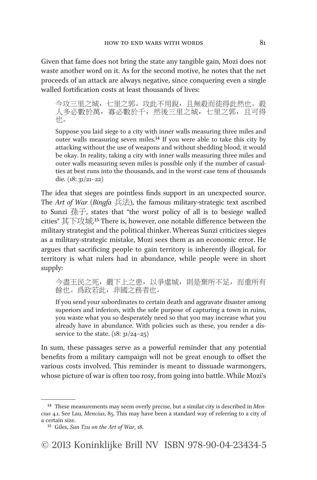Given that fame does not bring the state any tangible gain, Mozi does not waste another word on it. As for the second motive, he notes that the net proceeds of an attack are always negative, since conquering even a single walled fortification costs at least thousands of lives:

今攻三里之城,七里之郭。攻此不用銳,且無殺而徒得此然也。殺 人多必數於萬, 寡必數於千, 然後三里之城, 七里之郭, 日可得 也。

Suppose you laid siege to a city with inner walls measuring three miles and outer walls measuring seven miles.14 If you were able to take this city by attacking without the use of weapons and without shedding blood, it would be okay. In reality, taking a city with inner walls measuring three miles and outer walls measuring seven miles is possible only if the number of casualties at best runs into the thousands, and in the worst case tens of thousands die.  $(18: 31/21-22)$ 

The idea that sieges are pointless finds support in an unexpected source. The *Art of War* (*Bingfa* 兵法 ), the famous military-strategic text ascribed to Sunzi 孫子, states that "the worst policy of all is to besiege walled cities" 其下攻城.<sup>15</sup> There is, however, one notable difference between the military strategist and the political thinker. Whereas Sunzi criticizes sieges as a military-strategic mistake, Mozi sees them as an economic error . He argues that sacrificing people to gain territory is inherently illogical, for territory is what rulers had in abundance, while people were in short supply:

今盡王民之死,嚴下上之患,以爭虛城,則是棄所不足,而重所有 餘也。爲政若此,非國之務者也。

If you send your subordinates to certain death and aggravate disaster among superiors and inferiors, with the sole purpose of capturing a town in ruins, you waste what you so desperately need so that you may increase what you already have in abundance. With policies such as these, you render a disservice to the state.  $(18: 31/24-25)$ 

In sum, these passages serve as a powerful reminder that any potential benefits from a military campaign will not be great enough to offset the various costs involved. This reminder is meant to dissuade warmongers, whose picture of war is often too rosy, from going into battle. While Mozi's

<sup>14</sup> These measurements may seem overly precise, but a similar city is described in *Mencius* 4.1. See Lau, *Mencius*, 85. This may have been a standard way of referring to a city of a certain size.

<sup>15</sup> Giles, *Sun Tzu on the Art of War*, 18.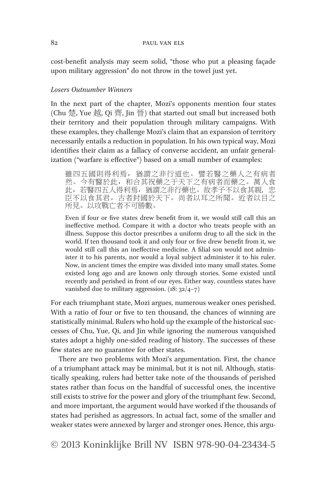cost-benefit analysis may seem solid, "those who put a pleasing façade upon military aggression" do not throw in the towel just yet.

### *Losers Outnumber Winners*

In the next part of the chapter, Mozi's opponents mention four states (Chu 楚, Yue 越, Qi 齊, Jin 晉) that started out small but increased both their territory and their population through military campaigns. With these examples, they challenge Mozi's claim that an expansion of territory necessarily entails a reduction in population. In his own typical way, Mozi identifies their claim as a fallacy of converse accident, an unfair generalization ("warfare is effective") based on a small number of examples:

雖四五國則得利焉,猶謂之非行道也。譬若醫之藥人之有病者 然。今有醫於此,和合其祝藥之于天下之有病者而藥之。萬人食 此,若醫四五人得利焉,猶謂之非行藥也。故孝子不以食其親, 忠 臣不以食其君。古者封國於天下。尚者以耳之所聞。近者以目之 所見。以攻戰亡者不可勝數。

Even if four or five states drew benefit from it, we would still call this an inefffective method. Compare it with a doctor who treats people with an illness. Suppose this doctor prescribes a uniform drug to all the sick in the world. If ten thousand took it and only four or five drew benefit from it, we would still call this an ineffective medicine. A filial son would not administer it to his parents, nor would a loyal subject administer it to his ruler. Now, in ancient times the empire was divided into many small states. Some existed long ago and are known only through stories. Some existed until recently and perished in front of our eyes. Either way, countless states have vanished due to military aggression.  $(18: 32/4-7)$ 

For each triumphant state, Mozi argues, numerous weaker ones perished. With a ratio of four or five to ten thousand, the chances of winning are statistically minimal. Rulers who hold up the example of the historical successes of Chu, Yue, Qi, and Jin while ignoring the numerous vanquished states adopt a highly one-sided reading of history. The successes of these few states are no guarantee for other states.

There are two problems with Mozi's argumentation. First, the chance of a triumphant attack may be minimal, but it is not nil. Although, statistically speaking, rulers had better take note of the thousands of perished states rather than focus on the handful of successful ones, the incentive still exists to strive for the power and glory of the triumphant few. Second, and more important, the argument would have worked if the thousands of states had perished as aggressors. In actual fact, some of the smaller and weaker states were annexed by larger and stronger ones. Hence, this argu-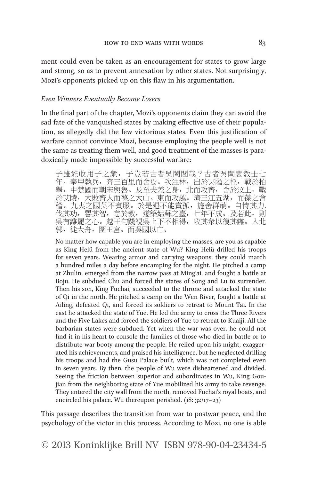ment could even be taken as an encouragement for states to grow large and strong, so as to prevent annexation by other states. Not surprisingly, Mozi's opponents picked up on this flaw in his argumentation.

#### *Even Winners Eventually Become Losers*

In the final part of the chapter, Mozi's opponents claim they can avoid the sad fate of the vanquished states by making effective use of their population, as allegedly did the few victorious states. Even this justification of warfare cannot convince Mozi, because employing the people well is not the same as treating them well, and good treatment of the masses is paradoxically made impossible by successful warfare:

子雖能收用子之衆,子豈若古者吳闔閭哉?古者吳闔閭教士七 年。奉甲執兵,奔三百里而舍焉。次注林,出於冥隘之徑,戰於柏 舉,中楚國而朝宋與魯。及至夫差之身,北而攻齊,舍於汶上,戰 於艾陵,大敗齊人而葆之大山。東而攻越。濟三江五湖,而葆之會 稽。九夷之國莫不賓服。於是退不能賞孤,施舍群萌。自恃其力, 伐其功,譽其智,怠於教,遂築姑蘇之臺,七年不成。及若此,則 吳有離罷之心。越王句踐視吳上下不相得,收其衆以復其讎。入北 郭,徙大舟,圍王宮。而吳國以亡。

No matter how capable you are in employing the masses, are you as capable as King Helü from the ancient state of Wu? King Helü drilled his troops for seven years. Wearing armor and carrying weapons, they could march a hundred miles a day before encamping for the night. He pitched a camp at Zhulin, emerged from the narrow pass at Ming'ai, and fought a battle at Boju. He subdued Chu and forced the states of Song and Lu to surrender. Then his son, King Fuchai, succeeded to the throne and attacked the state of Qi in the north. He pitched a camp on the Wen River, fought a battle at Ailing, defeated Qi, and forced its soldiers to retreat to Mount Tai. In the east he attacked the state of Yue. He led the army to cross the Three Rivers and the Five Lakes and forced the soldiers of Yue to retreat to Kuaiji. All the barbarian states were subdued. Yet when the war was over, he could not find it in his heart to console the families of those who died in battle or to distribute war booty among the people. He relied upon his might, exaggerated his achievements, and praised his intelligence, but he neglected drilling his troops and had the Gusu Palace built, which was not completed even in seven years. By then, the people of Wu were disheartened and divided. Seeing the friction between superior and subordinates in Wu, King Goujian from the neighboring state of Yue mobilized his army to take revenge. They entered the city wall from the north, removed Fuchai's royal boats, and encircled his palace. Wu thereupon perished.  $(18: 32/17-23)$ 

This passage describes the transition from war to postwar peace, and the psychology of the victor in this process. According to Mozi, no one is able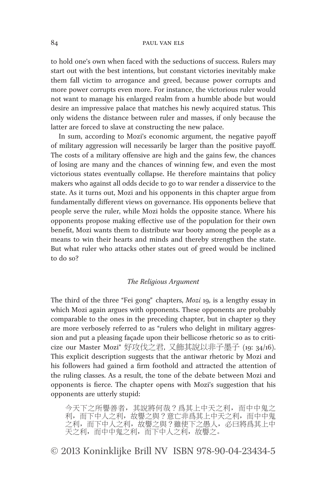#### 84 PAUL VAN ELS

to hold one's own when faced with the seductions of success. Rulers may start out with the best intentions, but constant victories inevitably make them fall victim to arrogance and greed, because power corrupts and more power corrupts even more. For instance, the victorious ruler would not want to manage his enlarged realm from a humble abode but would desire an impressive palace that matches his newly acquired status. This only widens the distance between ruler and masses, if only because the latter are forced to slave at constructing the new palace.

In sum, according to Mozi's economic argument, the negative payoff of military aggression will necessarily be larger than the positive payoff. The costs of a military offensive are high and the gains few, the chances of losing are many and the chances of winning few, and even the most victorious states eventually collapse. He therefore maintains that policy makers who against all odds decide to go to war render a disservice to the state. As it turns out, Mozi and his opponents in this chapter argue from fundamentally diffferent views on governance. His opponents believe that people serve the ruler, while Mozi holds the opposite stance. Where his opponents propose making efffective use of the population for their own benefit, Mozi wants them to distribute war booty among the people as a means to win their hearts and minds and thereby strengthen the state. But what ruler who attacks other states out of greed would be inclined to do so?

#### *The Religious Argument*

The third of the three "Fei gong" chapters, *Mozi* 19, is a lengthy essay in which Mozi again argues with opponents. These opponents are probably comparable to the ones in the preceding chapter, but in chapter 19 they are more verbosely referred to as "rulers who delight in military aggression and put a pleasing façade upon their bellicose rhetoric so as to criticize our Master Mozi" 好攻伐之君, 又飾其說以非子墨子 (19: 34/16). This explicit description suggests that the antiwar rhetoric by Mozi and his followers had gained a firm foothold and attracted the attention of the ruling classes. As a result, the tone of the debate between Mozi and opponents is fierce. The chapter opens with Mozi's suggestion that his opponents are utterly stupid:

今天下之所譽善者,其說將何哉?爲其上中天之利,而中中鬼之 利,而下中人之利,故譽之與?意亡非爲其上中天之利,而中中鬼 之利,而下中人之利,故譽之與?雖使下之愚人,必曰將爲其上中 天之利,而中中鬼之利,而下中人之利,故譽之。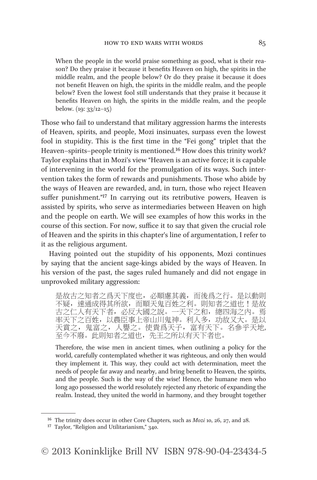When the people in the world praise something as good, what is their reason? Do they praise it because it benefits Heaven on high, the spirits in the middle realm, and the people below? Or do they praise it because it does not benefit Heaven on high, the spirits in the middle realm, and the people below? Even the lowest fool still understands that they praise it because it benefits Heaven on high, the spirits in the middle realm, and the people below.  $(19: 33/12-15)$ 

Those who fail to understand that military aggression harms the interests of Heaven, spirits, and people, Mozi insinuates, surpass even the lowest fool in stupidity. This is the first time in the "Fei gong" triplet that the Heaven-spirits-people trinity is mentioned.<sup>16</sup> How does this trinity work? Taylor explains that in Mozi's view "Heaven is an active force; it is capable of intervening in the world for the promulgation of its ways. Such intervention takes the form of rewards and punishments . Those who abide by the ways of Heaven are rewarded, and, in turn, those who reject Heaven suffer punishment."<sup>17</sup> In carrying out its retributive powers, Heaven is assisted by spirits, who serve as intermediaries between Heaven on high and the people on earth. We will see examples of how this works in the course of this section. For now, suffice it to say that given the crucial role of Heaven and the spirits in this chapter's line of argumentation, I refer to it as the religious argument.

Having pointed out the stupidity of his opponents, Mozi continues by saying that the ancient sage-kings abided by the ways of Heaven. In his version of the past, the sages ruled humanely and did not engage in unprovoked military aggression:

是故古之知者之爲天下度也,必順慮其義,而後爲之行。是以動則 不疑,速通成得其所欲,而順天鬼百姓之利。則知者之道也!是故 古之仁人有天下者,必反大國之說。一天下之和,總四海之內。焉 率天下之百姓,以農臣事上帝山川鬼神。利人多,功故又大。是以 天賞之,鬼富之,人譽之。使貴爲天子,富有天下。名參乎天地, 至今不廢。此則知者之道也,先王之所以有天下者也。

Therefore, the wise men in ancient times, when outlining a policy for the world, carefully contemplated whether it was righteous, and only then would they implement it. This way, they could act with determination, meet the needs of people far away and nearby, and bring benefit to Heaven, the spirits, and the people. Such is the way of the wise! Hence, the humane men who long ago possessed the world resolutely rejected any rhetoric of expanding the realm. Instead, they united the world in harmony, and they brought together

<sup>16</sup> The trinity does occur in other Core Chapters, such as *Mozi* 10, 26, 27, and 28.

<sup>17</sup> Taylor, "Religion and Utilitarianism," 340.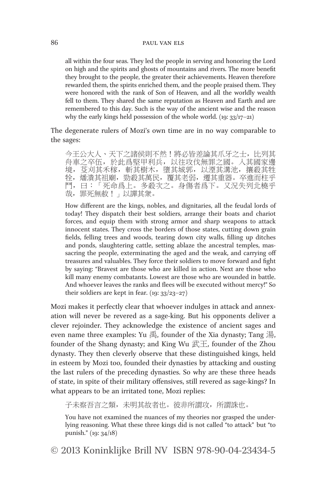#### 86 PAUL VAN ELS

all within the four seas. They led the people in serving and honoring the Lord on high and the spirits and ghosts of mountains and rivers. The more benefit they brought to the people, the greater their achievements. Heaven therefore rewarded them, the spirits enriched them, and the people praised them. They were honored with the rank of Son of Heaven, and all the worldly wealth fell to them. They shared the same reputation as Heaven and Earth and are remembered to this day. Such is the way of the ancient wise and the reason why the early kings held possession of the whole world.  $(19: 33/17-21)$ 

The degenerate rulers of Mozi's own time are in no way comparable to the sages:

今王公大人、天下之諸侯則不然!將必皆差論其爪牙之士,比列其 舟車之卒伍,於此爲堅甲利兵,以往攻伐無罪之國。入其國家邊 境, 芟刈其禾稼, 斬其樹木, 墮其城郭, 以湮其溝池, 攘殺其牲 牷,燔潰其祖廟,勁殺其萬民,覆其老弱,遷其重器。卒進而柱乎 鬥,曰:「死命爲上。多殺次之。身傷者爲下。又況失列北橈乎 哉,罪死無赦!」以譂其衆。

How diffferent are the kings, nobles, and dignitaries, all the feudal lords of today! They dispatch their best soldiers, arrange their boats and chariot forces, and equip them with strong armor and sharp weapons to attack innocent states. They cross the borders of those states, cutting down grain fields, felling trees and woods, tearing down city walls, filling up ditches and ponds, slaughtering cattle, setting ablaze the ancestral temples, massacring the people, exterminating the aged and the weak, and carrying off treasures and valuables. They force their soldiers to move forward and fight by saying: "Bravest are those who are killed in action. Next are those who kill many enemy combatants. Lowest are those who are wounded in battle. And whoever leaves the ranks and flees will be executed without mercy!" So their soldiers are kept in fear.  $(19: 33/23-27)$ 

Mozi makes it perfectly clear that whoever indulges in attack and annexation will never be revered as a sage-king. But his opponents deliver a clever rejoinder. They acknowledge the existence of ancient sages and even name three examples: Yu 禹, founder of the Xia dynasty; Tang 湯, founder of the Shang dynasty; and King Wu  $\mathbb{R}$ . founder of the Zhou dynasty. They then cleverly observe that these distinguished kings, held in esteem by Mozi too, founded their dynasties by attacking and ousting the last rulers of the preceding dynasties. So why are these three heads of state, in spite of their military offensives, still revered as sage-kings? In what appears to be an irritated tone, Mozi replies:

子未察吾言之類,未明其故者也。彼非所謂攻,所謂誅也。

You have not examined the nuances of my theories nor grasped the underlying reasoning. What these three kings did is not called "to attack" but "to punish." (19: 34/18)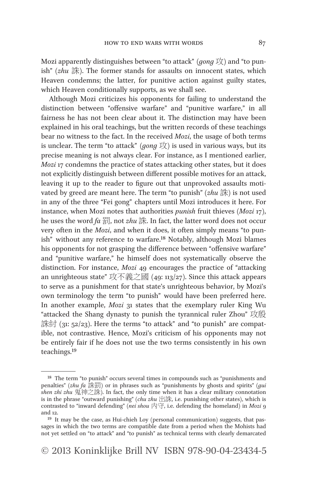Mozi apparently distinguishes between "to attack" (*gong* 攻) and "to punish" (*zhu* 誅). The former stands for assaults on innocent states, which Heaven condemns; the latter, for punitive action against guilty states, which Heaven conditionally supports, as we shall see.

Although Mozi criticizes his opponents for failing to understand the distinction between "offensive warfare" and "punitive warfare," in all fairness he has not been clear about it. The distinction may have been explained in his oral teachings, but the written records of these teachings bear no witness to the fact. In the received *Mozi*, the usage of both terms is unclear. The term "to attack" (*gong*  $\overleftrightarrow{\mathcal{Y}}$ ) is used in various ways, but its precise meaning is not always clear. For instance, as I mentioned earlier, *Mozi* 17 condemns the practice of states attacking other states, but it does not explicitly distinguish between different possible motives for an attack, leaving it up to the reader to figure out that unprovoked assaults motivated by greed are meant here. The term "to punish" (*zhu* 誅) is not used in any of the three "Fei gong" chapters until Mozi introduces it here. For instance, when Mozi notes that authorities *punish* fruit thieves (*Mozi* 17 ), he uses the word  $fa \Xi$ , not *zhu* 誅. In fact, the latter word does not occur very often in the *Mozi*, and when it does, it often simply means "to punish" without any reference to warfare.<sup>18</sup> Notably, although Mozi blames his opponents for not grasping the difference between "offensive warfare" and "punitive warfare," he himself does not systematically observe the distinction. For instance, *Mozi* 49 encourages the practice of "attacking an unrighteous state" 攻不義之國 (49: 113/27). Since this attack appears to serve as a punishment for that state's unrighteous behavior, by Mozi's own terminology the term "to punish" would have been preferred here. In another example, *Mozi* 31 states that the exemplary ruler King Wu "attacked the Shang dynasty to punish the tyrannical ruler Zhou" 攻殷 誅紂 (31: 52/23). Here the terms "to attack" and "to punish" are compatible, not contrastive. Hence, Mozi's criticism of his opponents may not be entirely fair if he does not use the two terms consistently in his own teachings.19

<sup>&</sup>lt;sup>18</sup> The term "to punish" occurs several times in compounds such as "punishments and penalties" (*zhu fa* 誅罰) or in phrases such as "punishments by ghosts and spirits" (*gui shen zhi zhu* 鬼神之誅). In fact, the only time when it has a clear military connotation is in the phrase "outward punishing" (*chu zhu* 出誅, i.e. punishing other states), which is contrasted to "inward defending" (*nei shou* 内守, i.e. defending the homeland) in *Mozi* 9 and 12.

<sup>19</sup> It may be the case, as Hui-chieh Loy (personal communication) suggests, that passages in which the two terms are compatible date from a period when the Mohists had not yet settled on "to attack" and "to punish" as technical terms with clearly demarcated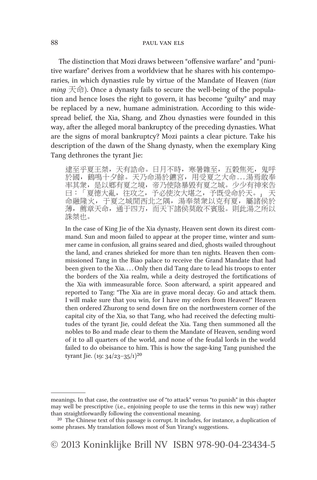The distinction that Mozi draws between "offensive warfare" and "punitive warfare" derives from a worldview that he shares with his contemporaries, in which dynasties rule by virtue of the Mandate of Heaven (*tian ming*  $\overline{\uparrow}$   $\hat{\uparrow}$   $\hat{\uparrow}$ ). Once a dynasty fails to secure the well-being of the population and hence loses the right to govern, it has become "guilty" and may be replaced by a new, humane administration. According to this widespread belief, the Xia, Shang, and Zhou dynasties were founded in this way, after the alleged moral bankruptcy of the preceding dynasties. What are the signs of moral bankruptcy? Mozi paints a clear picture. Take his description of the dawn of the Shang dynasty, when the exemplary King Tang dethrones the tyrant Jie:

逮至乎夏王桀,天有誥命。日月不時,寒暑雜至,五穀焦死,鬼呼 於國, 鶴鳴十夕餘。天乃命湯於鑣宮, 用受夏之大命... 湯焉敢奉 率其衆,是以鄉有夏之境,帝乃使陰暴毀有夏之城。少少有神來告 曰:「夏德大亂,往攻之,予必使汝大堪之,予既受命於天。」 天 命融隆火,于夏之城閒西北之隅,湯奉桀衆以克有夏,屬諸侯於 薄, 薦章天命, 通干四方, 而天下諸侯莫敢不賓服。則此湯之所以 誅桀也。

In the case of King Jie of the Xia dynasty, Heaven sent down its direst command. Sun and moon failed to appear at the proper time, winter and summer came in confusion, all grains seared and died, ghosts wailed throughout the land, and cranes shrieked for more than ten nights. Heaven then commissioned Tang in the Biao palace to receive the Grand Mandate that had been given to the Xia. . . . Only then did Tang dare to lead his troops to enter the borders of the Xia realm, while a deity destroyed the fortifications of the Xia with immeasurable force. Soon afterward, a spirit appeared and reported to Tang: "The Xia are in grave moral decay. Go and attack them. I will make sure that you win, for I have my orders from Heaven!" Heaven then ordered Zhurong to send down fire on the northwestern corner of the capital city of the Xia, so that Tang, who had received the defecting multitudes of the tyrant Jie, could defeat the Xia. Tang then summoned all the nobles to Bo and made clear to them the Mandate of Heaven, sending word of it to all quarters of the world, and none of the feudal lords in the world failed to do obeisance to him. This is how the sage-king Tang punished the tyrant Jie.  $(19: 34/23-35/1)^{20}$ 

meanings. In that case, the contrastive use of "to attack" versus "to punish" in this chapter may well be prescriptive (i.e., enjoining people to use the terms in this new way) rather than straightforwardly following the conventional meaning.

<sup>20</sup> The Chinese text of this passage is corrupt. It includes, for instance, a duplication of some phrases. My translation follows most of Sun Yirang's suggestions.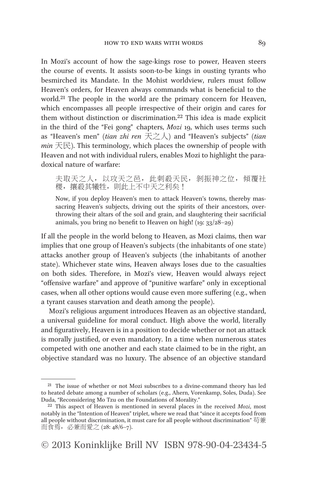In Mozi's account of how the sage-kings rose to power, Heaven steers the course of events. It assists soon-to-be kings in ousting tyrants who besmirched its Mandate. In the Mohist worldview, rulers must follow Heaven's orders, for Heaven always commands what is beneficial to the world.<sup>21</sup> The people in the world are the primary concern for Heaven, which encompasses all people irrespective of their origin and cares for them without distinction or discrimination.<sup>22</sup> This idea is made explicit in the third of the "Fei gong" chapters, *Mozi* 19, which uses terms such as "Heaven's men" (*tian zhi ren* 天之人 ) and "Heaven's subjects" (*tian min*  $\overline{\mathcal{F}}(\overline{\mathbb{R}})$ . This terminology, which places the ownership of people with Heaven and not with individual rulers, enables Mozi to highlight the paradoxical nature of warfare.

夫取天之人,以攻天之邑,此刺殺天民,剝振神之位,傾覆社 稷,攘殺其犧牲,則此上不中天之利矣!

Now, if you deploy Heaven's men to attack Heaven's towns, thereby massacring Heaven's subjects, driving out the spirits of their ancestors, overthrowing their altars of the soil and grain, and slaughtering their sacrificial animals, you bring no benefit to Heaven on high!  $(19: 33/28-29)$ 

If all the people in the world belong to Heaven, as Mozi claims, then war implies that one group of Heaven's subjects (the inhabitants of one state) attacks another group of Heaven's subjects (the inhabitants of another state). Whichever state wins, Heaven always loses due to the casualties on both sides. Therefore, in Mozi's view, Heaven would always reject "offensive warfare" and approve of "punitive warfare" only in exceptional cases, when all other options would cause even more suffering (e.g., when a tyrant causes starvation and death among the people).

Mozi's religious argument introduces Heaven as an objective standard, a universal guideline for moral conduct. High above the world, literally and figuratively, Heaven is in a position to decide whether or not an attack is morally justified, or even mandatory. In a time when numerous states competed with one another and each state claimed to be in the right, an objective standard was no luxury. The absence of an objective standard

<sup>21</sup>The issue of whether or not Mozi subscribes to a divine-command theory has led to heated debate among a number of scholars (e.g., Ahern, Vorenkamp, Soles, Duda). See Duda, "Reconsidering Mo Tzu on the Foundations of Morality."

<sup>22</sup> This aspect of Heaven is mentioned in several places in the received *Mozi*, most notably in the "Intention of Heaven" triplet, where we read that "since it accepts food from all people without discrimination, it must care for all people without discrimination" 苟兼 而食焉,必兼而愛之 (28: 48/6-7).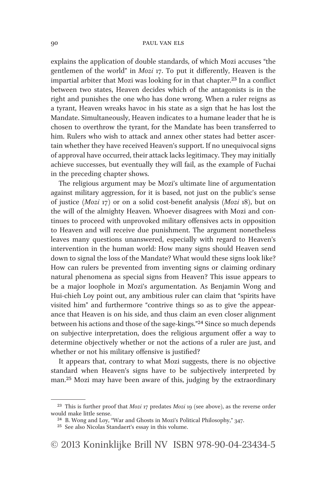explains the application of double standards, of which Mozi accuses "the gentlemen of the world" in *Mozi* 17. To put it differently, Heaven is the impartial arbiter that Mozi was looking for in that chapter.23 In a conflict between two states, Heaven decides which of the antagonists is in the right and punishes the one who has done wrong. When a ruler reigns as a tyrant, Heaven wreaks havoc in his state as a sign that he has lost the Mandate . Simultaneously, Heaven indicates to a humane leader that he is chosen to overthrow the tyrant, for the Mandate has been transferred to him. Rulers who wish to attack and annex other states had better ascertain whether they have received Heaven's support. If no unequivocal signs of approval have occurred, their attack lacks legitimacy. They may initially achieve successes, but eventually they will fail, as the example of Fuchai in the preceding chapter shows.

The religious argument may be Mozi's ultimate line of argumentation against military aggression, for it is based, not just on the public's sense of justice (*Mozi* 17) or on a solid cost-benefit analysis (*Mozi* 18), but on the will of the almighty Heaven. Whoever disagrees with Mozi and continues to proceed with unprovoked military offensives acts in opposition to Heaven and will receive due punishment. The argument nonetheless leaves many questions unanswered, especially with regard to Heaven's intervention in the human world: How many signs should Heaven send down to signal the loss of the Mandate? What would these signs look like? How can rulers be prevented from inventing signs or claiming ordinary natural phenomena as special signs from Heaven? This issue appears to be a major loophole in Mozi's argumentation. As Benjamin Wong and Hui-chieh Loy point out, any ambitious ruler can claim that "spirits have visited him" and furthermore "contrive things so as to give the appearance that Heaven is on his side, and thus claim an even closer alignment between his actions and those of the sage-kings."<sup>24</sup> Since so much depends on subjective interpretation, does the religious argument offer a way to determine objectively whether or not the actions of a ruler are just, and whether or not his military offensive is justified?

It appears that, contrary to what Mozi suggests, there is no objective standard when Heaven's signs have to be subjectively interpreted by man.25 Mozi may have been aware of this, judging by the extraordinary

<sup>23</sup> This is further proof that *Mozi* 17 predates *Mozi* 19 (see above), as the reverse order would make little sense.

<sup>24</sup> B. Wong and Loy, "War and Ghosts in Mozi's Political Philosophy," 347.

<sup>25</sup> See also Nicolas Standaert's essay in this volume.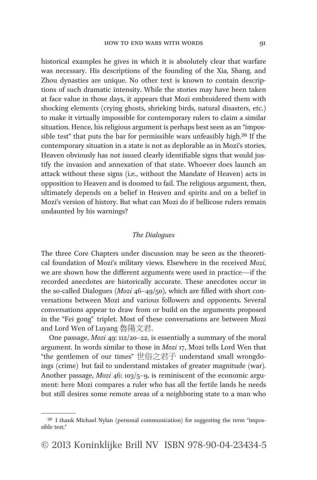historical examples he gives in which it is absolutely clear that warfare was necessary. His descriptions of the founding of the Xia, Shang, and Zhou dynasties are unique. No other text is known to contain descriptions of such dramatic intensity. While the stories may have been taken at face value in those days, it appears that Mozi embroidered them with shocking elements (crying ghosts, shrieking birds, natural disasters, etc.) to make it virtually impossible for contemporary rulers to claim a similar situation. Hence, his religious argument is perhaps best seen as an "impossible test" that puts the bar for permissible wars unfeasibly high.26 If the contemporary situation in a state is not as deplorable as in Mozi's stories, Heaven obviously has not issued clearly identifiable signs that would justify the invasion and annexation of that state. Whoever does launch an attack without these signs (i.e., without the Mandate of Heaven) acts in opposition to Heaven and is doomed to fail. The religious argument, then, ultimately depends on a belief in Heaven and spirits and on a belief in Mozi's version of history. But what can Mozi do if bellicose rulers remain undaunted by his warnings?

# *The Dialogues*

The three Core Chapters under discussion may be seen as the theoretical foundation of Mozi's military views. Elsewhere in the received *Mozi*, we are shown how the different arguments were used in practice—if the recorded anecdotes are historically accurate. These anecdotes occur in the so-called Dialogues (*Mozi* 46–49/50), which are filled with short conversations between Mozi and various followers and opponents . Several conversations appear to draw from or build on the arguments proposed in the "Fei gong" triplet. Most of these conversations are between Mozi and Lord Wen of Luyang 魯陽文君 .

One passage, *Mozi* 49: 112/20–22 , is essentially a summary of the moral argument. In words similar to those in *Mozi* 17 , Mozi tells Lord Wen that "the gentlemen of our times" 世俗之君子 understand small wrongdoings (crime) but fail to understand mistakes of greater magnitude (war). Another passage, *Mozi* 46: 103/5–9, is reminiscent of the economic argument: here Mozi compares a ruler who has all the fertile lands he needs but still desires some remote areas of a neighboring state to a man who

<sup>&</sup>lt;sup>26</sup> I thank Michael Nylan (personal communication) for suggesting the term "impossible test."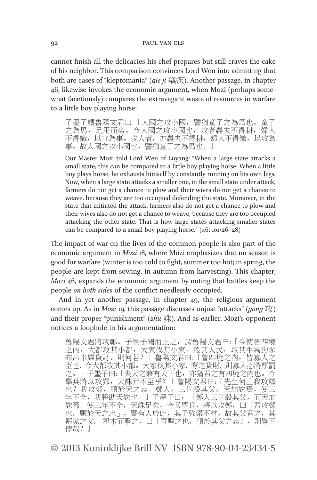cannot finish all the delicacies his chef prepares but still craves the cake of his neighbor. This comparison convinces Lord Wen into admitting that both are cases of "kleptomania" (*qie ji* 竊疾). Another passage, in chapter 46, likewise invokes the economic argument, when Mozi (perhaps somewhat facetiously) compares the extravagant waste of resources in warfare to a little boy playing horse:

子墨子謂魯陽文君曰:「大國之攻小國,譬猶童子之為馬也。童子 之為馬,足用而勞。今大國之攻小國也,攻者農夫不得耕,婦人 不得織,以守為事。攻人者,亦農夫不得耕,婦人不得織,以攻為 事。故大國之攻小國也,譬猶童子之為馬也。」

Our Master Mozi told Lord Wen of Luyang: "When a large state attacks a small state, this can be compared to a little boy playing horse. When a little boy plays horse, he exhausts himself by constantly running on his own legs. Now, when a large state attacks a smaller one, in the small state under attack, farmers do not get a chance to plow and their wives do not get a chance to weave, because they are too occupied defending the state. Moreover, in the state that initiated the attack, farmers also do not get a chance to plow and their wives also do not get a chance to weave, because they are too occupied attacking the other state. That is how large states attacking smaller states can be compared to a small boy playing horse."  $(46: 101/26-28)$ 

The impact of war on the lives of the common people is also part of the economic argument in *Mozi* 18 , where Mozi emphasizes that no season is good for warfare (winter is too cold to fight, summer too hot; in spring, the people are kept from sowing, in autumn from harvesting). This chapter, *Mozi* 46, expands the economic argument by noting that battles keep the people *on both sides* of the conflict needlessly occupied.

And in yet another passage, in chapter 49, the religious argument comes up. As in *Mozi* 19 , this passage discusses unjust "attacks" (*gong* 攻) and their proper "punishment" (*zhu* 誅). And as earlier, Mozi's opponent notices a loophole in his argumentation:

魯陽文君將攻鄭。子墨子聞而止之,謂魯陽文君曰:「今使魯四境 之內,大都攻其小都,大家伐其小家,殺其人民,取其牛馬狗豕 布帛米粟貨財。則何若?」魯陽文君曰:「魯四境之內,皆寡人之 臣也, 今大都攻其小都。大家伐其小家, 奪之貨財, 則寡人必將厚罰 之。」子墨子曰:「夫天之兼有天下也,亦猶君之有四境之內也。今 舉兵將以攻鄭,天誅亓不至乎?」魯陽文君曰:「先生何止我攻鄰 也?我攻鄭,順於天之志。鄭人,三世殺其父,天加誅焉。使三 年不全,我將助天誅也。」子墨子曰:「鄭人三世殺其父,而天加 誅焉。使三年不全,天誅足矣。今又舉兵,將以攻鄭,曰「吾攻鄭 也,順於天之志」。譬有人於此,其子強粱不材,故其父笞之,其 鄰家之父, 舉木而擊之,曰「吾擊之也,順於其父之志」,則豈不 悖哉?」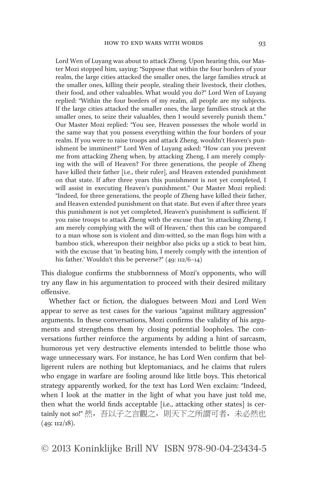Lord Wen of Luyang was about to attack Zheng. Upon hearing this, our Master Mozi stopped him, saying: "Suppose that within the four borders of your realm, the large cities attacked the smaller ones, the large families struck at the smaller ones, killing their people, stealing their livestock, their clothes, their food, and other valuables. What would you do?" Lord Wen of Luyang replied: "Within the four borders of my realm, all people are my subjects. If the large cities attacked the smaller ones, the large families struck at the smaller ones, to seize their valuables, then I would severely punish them." Our Master Mozi replied: "You see, Heaven possesses the whole world in the same way that you possess everything within the four borders of your realm. If you were to raise troops and attack Zheng, wouldn't Heaven's punishment be imminent?" Lord Wen of Luyang asked: "How can you prevent me from attacking Zheng when, by attacking Zheng, I am merely complying with the will of Heaven? For three generations, the people of Zheng have killed their father [i.e., their ruler], and Heaven extended punishment on that state. If after three years this punishment is not yet completed, I will assist in executing Heaven's punishment." Our Master Mozi replied: "Indeed, for three generations, the people of Zheng have killed their father, and Heaven extended punishment on that state. But even if after three years this punishment is not yet completed, Heaven's punishment is sufficient. If you raise troops to attack Zheng with the excuse that 'in attacking Zheng, I am merely complying with the will of Heaven,' then this can be compared to a man whose son is violent and dim-witted, so the man flogs him with a bamboo stick, whereupon their neighbor also picks up a stick to beat him, with the excuse that 'in beating him, I merely comply with the intention of his father.' Wouldn't this be perverse?" (49: 112/6–14)

This dialogue confirms the stubbornness of Mozi's opponents, who will try any flaw in his argumentation to proceed with their desired military offensive.

Whether fact or fiction, the dialogues between Mozi and Lord Wen appear to serve as test cases for the various "against military aggression" arguments. In these conversations, Mozi confirms the validity of his arguments and strengthens them by closing potential loopholes. The conversations further reinforce the arguments by adding a hint of sarcasm, humorous yet very destructive elements intended to belittle those who wage unnecessary wars. For instance, he has Lord Wen confirm that belligerent rulers are nothing but kleptomaniacs, and he claims that rulers who engage in warfare are fooling around like little boys. This rhetorical strategy apparently worked, for the text has Lord Wen exclaim: "Indeed, when I look at the matter in the light of what you have just told me, then what the world finds acceptable [i.e., attacking other states] is certainly not so!" 然,吾以子之言觀之,則天下之所謂可者,未必然也  $(49:112/18).$